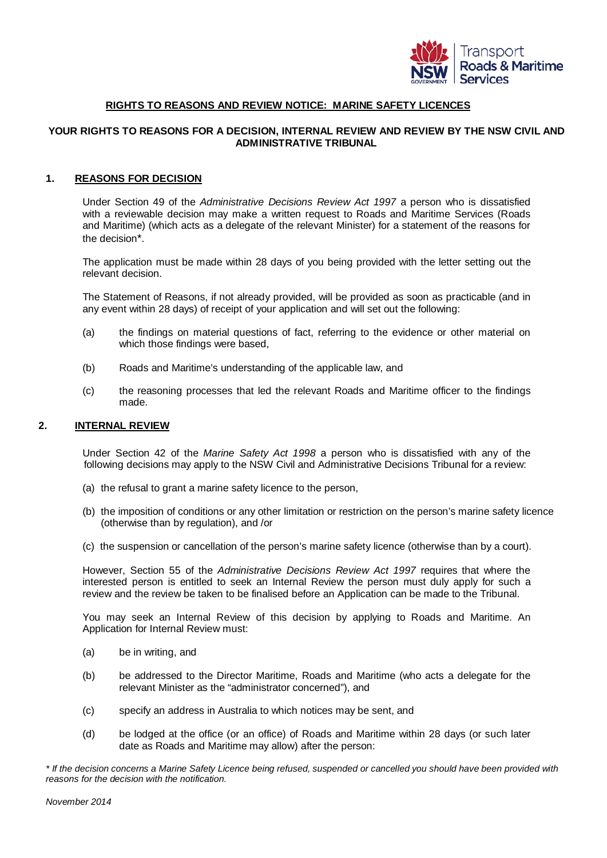

#### **RIGHTS TO REASONS AND REVIEW NOTICE: MARINE SAFETY LICENCES**

# **YOUR RIGHTS TO REASONS FOR A DECISION, INTERNAL REVIEW AND REVIEW BY THE NSW CIVIL AND ADMINISTRATIVE TRIBUNAL**

### **1. REASONS FOR DECISION**

Under Section 49 of the *Administrative Decisions Review Act 1997* a person who is dissatisfied with a reviewable decision may make a written request to Roads and Maritime Services (Roads and Maritime) (which acts as a delegate of the relevant Minister) for a statement of the reasons for the decision\*.

The application must be made within 28 days of you being provided with the letter setting out the relevant decision.

The Statement of Reasons, if not already provided, will be provided as soon as practicable (and in any event within 28 days) of receipt of your application and will set out the following:

- (a) the findings on material questions of fact, referring to the evidence or other material on which those findings were based,
- (b) Roads and Maritime's understanding of the applicable law, and
- (c) the reasoning processes that led the relevant Roads and Maritime officer to the findings made.

#### **2. INTERNAL REVIEW**

Under Section 42 of the *Marine Safety Act 1998* a person who is dissatisfied with any of the following decisions may apply to the NSW Civil and Administrative Decisions Tribunal for a review:

- (a) the refusal to grant a marine safety licence to the person,
- (b) the imposition of conditions or any other limitation or restriction on the person's marine safety licence (otherwise than by regulation), and /or
- (c) the suspension or cancellation of the person's marine safety licence (otherwise than by a court).

However, Section 55 of the *Administrative Decisions Review Act 1997* requires that where the interested person is entitled to seek an Internal Review the person must duly apply for such a review and the review be taken to be finalised before an Application can be made to the Tribunal.

You may seek an Internal Review of this decision by applying to Roads and Maritime. An Application for Internal Review must:

- (a) be in writing, and
- (b) be addressed to the Director Maritime, Roads and Maritime (who acts a delegate for the relevant Minister as the "administrator concerned"), and
- (c) specify an address in Australia to which notices may be sent, and
- (d) be lodged at the office (or an office) of Roads and Maritime within 28 days (or such later date as Roads and Maritime may allow) after the person:

*\* If the decision concerns a Marine Safety Licence being refused, suspended or cancelled you should have been provided with reasons for the decision with the notification.*